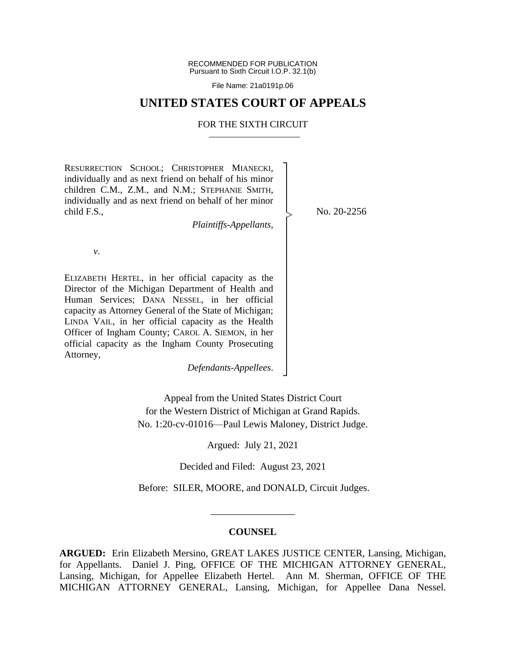RECOMMENDED FOR PUBLICATION Pursuant to Sixth Circuit I.O.P. 32.1(b)

File Name: 21a0191p.06

### **UNITED STATES COURT OF APPEALS**

#### FOR THE SIXTH CIRCUIT

┐ │ │ │ │ │ │ │ │ │ │ │ │ │ │ │ │ │ │ ┘

|<br>|<br>|

RESURRECTION SCHOOL; CHRISTOPHER MIANECKI, individually and as next friend on behalf of his minor children C.M., Z.M., and N.M.; STEPHANIE SMITH, individually and as next friend on behalf of her minor child F.S.,

*Plaintiffs-Appellants*,

No. 20-2256

*v*.

ELIZABETH HERTEL, in her official capacity as the Director of the Michigan Department of Health and Human Services; DANA NESSEL, in her official capacity as Attorney General of the State of Michigan; LINDA VAIL, in her official capacity as the Health Officer of Ingham County; CAROL A. SIEMON, in her official capacity as the Ingham County Prosecuting Attorney,

*Defendants-Appellees*.

Appeal from the United States District Court for the Western District of Michigan at Grand Rapids. No. 1:20-cv-01016—Paul Lewis Maloney, District Judge.

Argued: July 21, 2021

Decided and Filed: August 23, 2021

Before: SILER, MOORE, and DONALD, Circuit Judges.

#### **COUNSEL**

\_\_\_\_\_\_\_\_\_\_\_\_\_\_\_\_\_

**ARGUED:** Erin Elizabeth Mersino, GREAT LAKES JUSTICE CENTER, Lansing, Michigan, for Appellants. Daniel J. Ping, OFFICE OF THE MICHIGAN ATTORNEY GENERAL, Lansing, Michigan, for Appellee Elizabeth Hertel. Ann M. Sherman, OFFICE OF THE MICHIGAN ATTORNEY GENERAL, Lansing, Michigan, for Appellee Dana Nessel.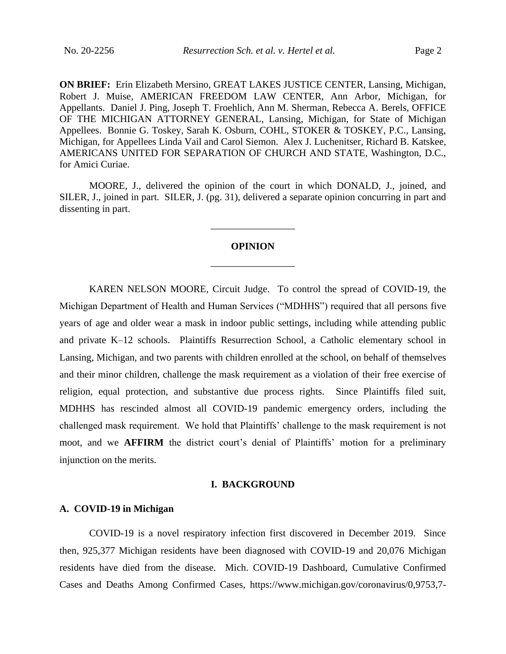**ON BRIEF:** Erin Elizabeth Mersino, GREAT LAKES JUSTICE CENTER, Lansing, Michigan, Robert J. Muise, AMERICAN FREEDOM LAW CENTER, Ann Arbor, Michigan, for Appellants. Daniel J. Ping, Joseph T. Froehlich, Ann M. Sherman, Rebecca A. Berels, OFFICE OF THE MICHIGAN ATTORNEY GENERAL, Lansing, Michigan, for State of Michigan Appellees. Bonnie G. Toskey, Sarah K. Osburn, COHL, STOKER & TOSKEY, P.C., Lansing, Michigan, for Appellees Linda Vail and Carol Siemon. Alex J. Luchenitser, Richard B. Katskee, AMERICANS UNITED FOR SEPARATION OF CHURCH AND STATE, Washington, D.C., for Amici Curiae.

MOORE, J., delivered the opinion of the court in which DONALD, J., joined, and SILER, J., joined in part. SILER, J. (pg. 31), delivered a separate opinion concurring in part and dissenting in part.

# **OPINION** \_\_\_\_\_\_\_\_\_\_\_\_\_\_\_\_\_

\_\_\_\_\_\_\_\_\_\_\_\_\_\_\_\_\_

KAREN NELSON MOORE, Circuit Judge. To control the spread of COVID-19, the Michigan Department of Health and Human Services ("MDHHS") required that all persons five years of age and older wear a mask in indoor public settings, including while attending public and private K–12 schools. Plaintiffs Resurrection School, a Catholic elementary school in Lansing, Michigan, and two parents with children enrolled at the school, on behalf of themselves and their minor children, challenge the mask requirement as a violation of their free exercise of religion, equal protection, and substantive due process rights. Since Plaintiffs filed suit, MDHHS has rescinded almost all COVID-19 pandemic emergency orders, including the challenged mask requirement. We hold that Plaintiffs' challenge to the mask requirement is not moot, and we **AFFIRM** the district court's denial of Plaintiffs' motion for a preliminary injunction on the merits.

#### **I. BACKGROUND**

#### **A. COVID-19 in Michigan**

COVID-19 is a novel respiratory infection first discovered in December 2019. Since then, 925,377 Michigan residents have been diagnosed with COVID-19 and 20,076 Michigan residents have died from the disease. Mich. COVID-19 Dashboard, Cumulative Confirmed Cases and Deaths Among Confirmed Cases, https://www.michigan.gov/coronavirus/0,9753,7-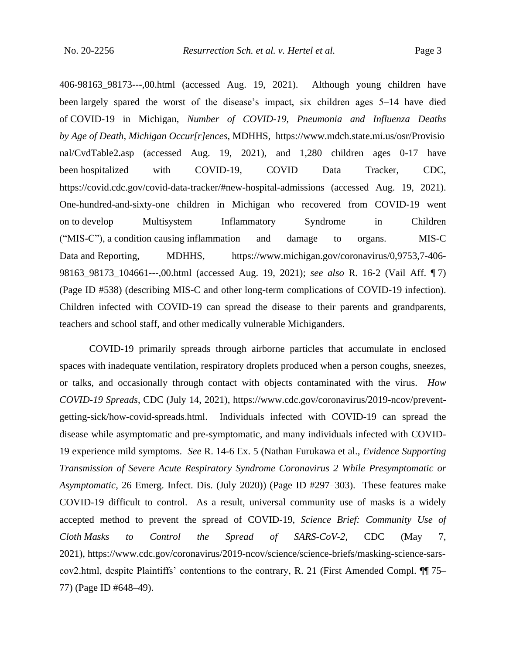406-98163\_98173---,00.html (accessed Aug. 19, 2021). Although young children have been largely spared the worst of the disease's impact, six children ages 5–14 have died of COVID-19 in Michigan, *Number of COVID-19, Pneumonia and Influenza Deaths by Age of Death, Michigan Occur[r]ences*, MDHHS, https://www.mdch.state.mi.us/osr/Provisio nal/CvdTable2.asp (accessed Aug. 19, 2021), and 1,280 children ages 0-17 have been hospitalized with COVID-19, COVID Data Tracker, CDC, https://covid.cdc.gov/covid-data-tracker/#new-hospital-admissions (accessed Aug. 19, 2021). One-hundred-and-sixty-one children in Michigan who recovered from COVID-19 went on to develop Multisystem Inflammatory Syndrome in Children ("MIS-C"), a condition causing inflammation and damage to organs. MIS-C Data and Reporting, MDHHS, https://www.michigan.gov/coronavirus/0,9753,7-406-98163\_98173\_104661---,00.html (accessed Aug. 19, 2021); *see also* R. 16-2 (Vail Aff. ¶ 7) (Page ID #538) (describing MIS-C and other long-term complications of COVID-19 infection). Children infected with COVID-19 can spread the disease to their parents and grandparents, teachers and school staff, and other medically vulnerable Michiganders.

COVID-19 primarily spreads through airborne particles that accumulate in enclosed spaces with inadequate ventilation, respiratory droplets produced when a person coughs, sneezes, or talks, and occasionally through contact with objects contaminated with the virus. *How COVID-19 Spreads*, CDC (July 14, 2021), https://www.cdc.gov/coronavirus/2019-ncov/preventgetting-sick/how-covid-spreads.html. Individuals infected with COVID-19 can spread the disease while asymptomatic and pre-symptomatic, and many individuals infected with COVID-19 experience mild symptoms. *See* R. 14-6 Ex. 5 (Nathan Furukawa et al., *Evidence Supporting Transmission of Severe Acute Respiratory Syndrome Coronavirus 2 While Presymptomatic or Asymptomatic*, 26 Emerg. Infect. Dis. (July 2020)) (Page ID #297–303). These features make COVID-19 difficult to control. As a result, universal community use of masks is a widely accepted method to prevent the spread of COVID-19, *Science Brief: Community Use of Cloth Masks to Control the Spread of SARS-CoV-2*, CDC (May 7, 2021), https://www.cdc.gov/coronavirus/2019-ncov/science/science-briefs/masking-science-sarscov2.html, despite Plaintiffs' contentions to the contrary, R. 21 (First Amended Compl. ¶¶ 75– 77) (Page ID #648–49).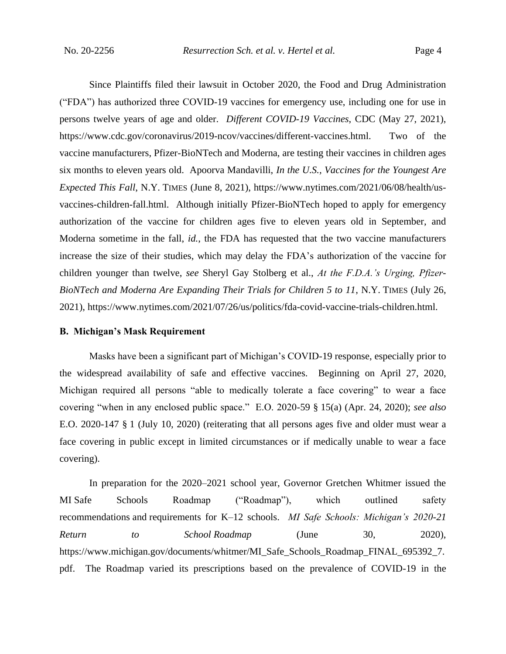Since Plaintiffs filed their lawsuit in October 2020, the Food and Drug Administration ("FDA") has authorized three COVID-19 vaccines for emergency use, including one for use in persons twelve years of age and older. *Different COVID-19 Vaccines*, CDC (May 27, 2021), https://www.cdc.gov/coronavirus/2019-ncov/vaccines/different-vaccines.html. Two of the vaccine manufacturers, Pfizer-BioNTech and Moderna, are testing their vaccines in children ages six months to eleven years old. Apoorva Mandavilli, *In the U.S., Vaccines for the Youngest Are Expected This Fall*, N.Y. TIMES (June 8, 2021), https://www.nytimes.com/2021/06/08/health/usvaccines-children-fall.html. Although initially Pfizer-BioNTech hoped to apply for emergency authorization of the vaccine for children ages five to eleven years old in September, and Moderna sometime in the fall, *id.*, the FDA has requested that the two vaccine manufacturers increase the size of their studies, which may delay the FDA's authorization of the vaccine for children younger than twelve, *see* Sheryl Gay Stolberg et al., *At the F.D.A.'s Urging, Pfizer-BioNTech and Moderna Are Expanding Their Trials for Children 5 to 11*, N.Y. TIMES (July 26, 2021), https://www.nytimes.com/2021/07/26/us/politics/fda-covid-vaccine-trials-children.html.

#### **B. Michigan's Mask Requirement**

Masks have been a significant part of Michigan's COVID-19 response, especially prior to the widespread availability of safe and effective vaccines. Beginning on April 27, 2020, Michigan required all persons "able to medically tolerate a face covering" to wear a face covering "when in any enclosed public space." E.O. 2020-59 § 15(a) (Apr. 24, 2020); *see also* E.O. 2020-147 § 1 (July 10, 2020) (reiterating that all persons ages five and older must wear a face covering in public except in limited circumstances or if medically unable to wear a face covering).

In preparation for the 2020–2021 school year, Governor Gretchen Whitmer issued the MI Safe Schools Roadmap ("Roadmap"), which outlined safety recommendations and requirements for K–12 schools. *MI Safe Schools: Michigan's 2020-21 Return to School Roadmap* (June 30, 2020), https://www.michigan.gov/documents/whitmer/MI\_Safe\_Schools\_Roadmap\_FINAL\_695392\_7. pdf. The Roadmap varied its prescriptions based on the prevalence of COVID-19 in the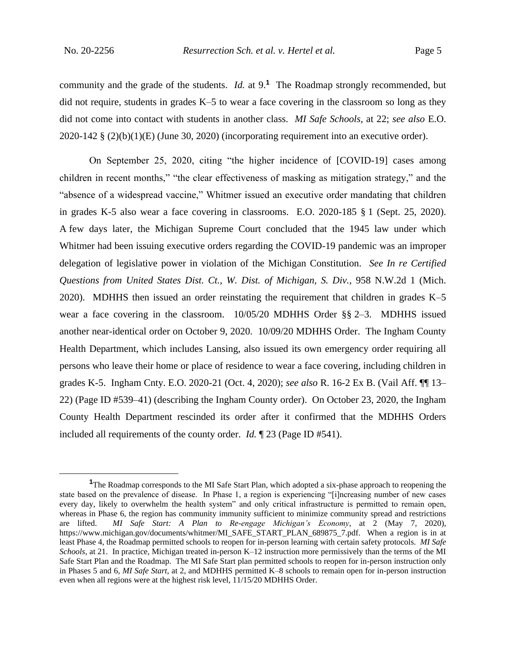community and the grade of the students. *Id.* at 9.**<sup>1</sup>** The Roadmap strongly recommended, but did not require, students in grades K–5 to wear a face covering in the classroom so long as they did not come into contact with students in another class. *MI Safe Schools*, at 22; *see also* E.O. 2020-142 § (2)(b)(1)(E) (June 30, 2020) (incorporating requirement into an executive order).

On September 25, 2020, citing "the higher incidence of [COVID-19] cases among children in recent months," "the clear effectiveness of masking as mitigation strategy," and the "absence of a widespread vaccine," Whitmer issued an executive order mandating that children in grades K-5 also wear a face covering in classrooms. E.O. 2020-185 § 1 (Sept. 25, 2020). A few days later, the Michigan Supreme Court concluded that the 1945 law under which Whitmer had been issuing executive orders regarding the COVID-19 pandemic was an improper delegation of legislative power in violation of the Michigan Constitution. *See In re Certified Questions from United States Dist. Ct., W. Dist. of Michigan, S. Div.*, 958 N.W.2d 1 (Mich. 2020). MDHHS then issued an order reinstating the requirement that children in grades K–5 wear a face covering in the classroom. 10/05/20 MDHHS Order §§ 2–3. MDHHS issued another near-identical order on October 9, 2020. 10/09/20 MDHHS Order. The Ingham County Health Department, which includes Lansing, also issued its own emergency order requiring all persons who leave their home or place of residence to wear a face covering, including children in grades K-5. Ingham Cnty. E.O. 2020-21 (Oct. 4, 2020); *see also* R. 16-2 Ex B. (Vail Aff. ¶¶ 13– 22) (Page ID #539–41) (describing the Ingham County order). On October 23, 2020, the Ingham County Health Department rescinded its order after it confirmed that the MDHHS Orders included all requirements of the county order. *Id.* ¶ 23 (Page ID #541).

<sup>&</sup>lt;sup>1</sup>The Roadmap corresponds to the MI Safe Start Plan, which adopted a six-phase approach to reopening the state based on the prevalence of disease. In Phase 1, a region is experiencing "[i]ncreasing number of new cases every day, likely to overwhelm the health system" and only critical infrastructure is permitted to remain open, whereas in Phase 6, the region has community immunity sufficient to minimize community spread and restrictions are lifted. *MI Safe Start: A Plan to Re-engage Michigan's Economy*, at 2 (May 7, 2020), https://www.michigan.gov/documents/whitmer/MI\_SAFE\_START\_PLAN\_689875\_7.pdf. When a region is in at least Phase 4, the Roadmap permitted schools to reopen for in-person learning with certain safety protocols. *MI Safe Schools*, at 21. In practice, Michigan treated in-person K–12 instruction more permissively than the terms of the MI Safe Start Plan and the Roadmap. The MI Safe Start plan permitted schools to reopen for in-person instruction only in Phases 5 and 6, *MI Safe Start*, at 2, and MDHHS permitted K–8 schools to remain open for in-person instruction even when all regions were at the highest risk level, 11/15/20 MDHHS Order.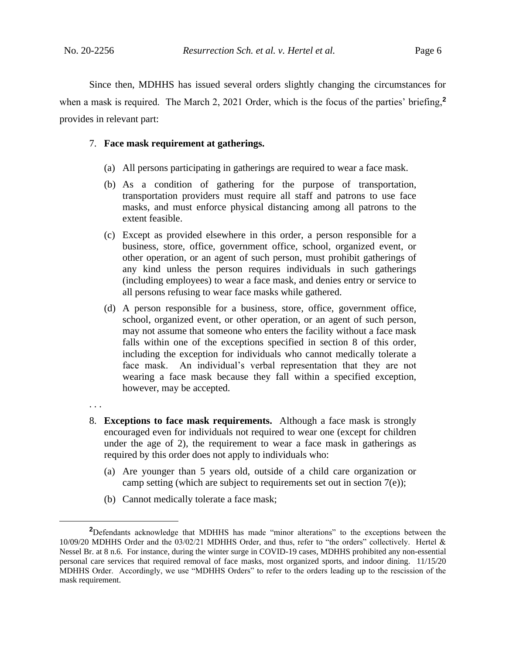Since then, MDHHS has issued several orders slightly changing the circumstances for when a mask is required. The March 2, 2021 Order, which is the focus of the parties' briefing,**<sup>2</sup>** provides in relevant part:

#### 7. **Face mask requirement at gatherings.**

- (a) All persons participating in gatherings are required to wear a face mask.
- (b) As a condition of gathering for the purpose of transportation, transportation providers must require all staff and patrons to use face masks, and must enforce physical distancing among all patrons to the extent feasible.
- (c) Except as provided elsewhere in this order, a person responsible for a business, store, office, government office, school, organized event, or other operation, or an agent of such person, must prohibit gatherings of any kind unless the person requires individuals in such gatherings (including employees) to wear a face mask, and denies entry or service to all persons refusing to wear face masks while gathered.
- (d) A person responsible for a business, store, office, government office, school, organized event, or other operation, or an agent of such person, may not assume that someone who enters the facility without a face mask falls within one of the exceptions specified in section 8 of this order, including the exception for individuals who cannot medically tolerate a face mask. An individual's verbal representation that they are not wearing a face mask because they fall within a specified exception, however, may be accepted.
- . . .
- 8. **Exceptions to face mask requirements.** Although a face mask is strongly encouraged even for individuals not required to wear one (except for children under the age of 2), the requirement to wear a face mask in gatherings as required by this order does not apply to individuals who:
	- (a) Are younger than 5 years old, outside of a child care organization or camp setting (which are subject to requirements set out in section 7(e));
	- (b) Cannot medically tolerate a face mask;

**<sup>2</sup>**Defendants acknowledge that MDHHS has made "minor alterations" to the exceptions between the 10/09/20 MDHHS Order and the 03/02/21 MDHHS Order, and thus, refer to "the orders" collectively. Hertel & Nessel Br. at 8 n.6. For instance, during the winter surge in COVID-19 cases, MDHHS prohibited any non-essential personal care services that required removal of face masks, most organized sports, and indoor dining. 11/15/20 MDHHS Order. Accordingly, we use "MDHHS Orders" to refer to the orders leading up to the rescission of the mask requirement.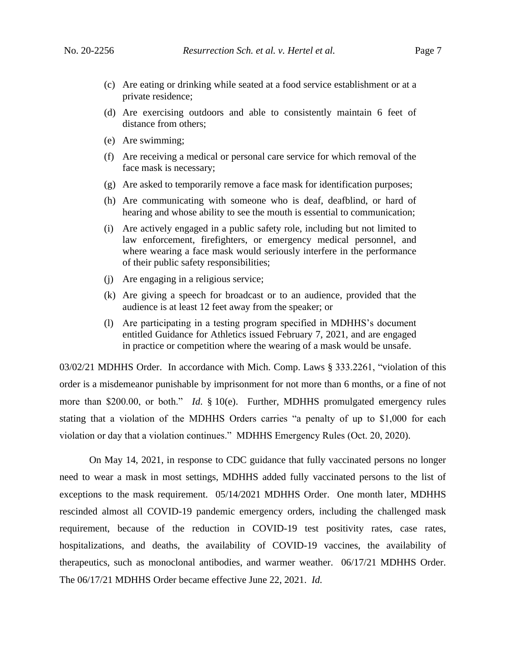- 
- (c) Are eating or drinking while seated at a food service establishment or at a private residence;
- (d) Are exercising outdoors and able to consistently maintain 6 feet of distance from others;
- (e) Are swimming;
- (f) Are receiving a medical or personal care service for which removal of the face mask is necessary;
- (g) Are asked to temporarily remove a face mask for identification purposes;
- (h) Are communicating with someone who is deaf, deafblind, or hard of hearing and whose ability to see the mouth is essential to communication;
- (i) Are actively engaged in a public safety role, including but not limited to law enforcement, firefighters, or emergency medical personnel, and where wearing a face mask would seriously interfere in the performance of their public safety responsibilities;
- (j) Are engaging in a religious service;
- (k) Are giving a speech for broadcast or to an audience, provided that the audience is at least 12 feet away from the speaker; or
- (l) Are participating in a testing program specified in MDHHS's document entitled Guidance for Athletics issued February 7, 2021, and are engaged in practice or competition where the wearing of a mask would be unsafe.

03/02/21 MDHHS Order. In accordance with Mich. Comp. Laws § 333.2261, "violation of this order is a misdemeanor punishable by imprisonment for not more than 6 months, or a fine of not more than \$200.00, or both." *Id*. § 10(e). Further, MDHHS promulgated emergency rules stating that a violation of the MDHHS Orders carries "a penalty of up to \$1,000 for each violation or day that a violation continues." MDHHS Emergency Rules (Oct. 20, 2020).

On May 14, 2021, in response to CDC guidance that fully vaccinated persons no longer need to wear a mask in most settings, MDHHS added fully vaccinated persons to the list of exceptions to the mask requirement. 05/14/2021 MDHHS Order. One month later, MDHHS rescinded almost all COVID-19 pandemic emergency orders, including the challenged mask requirement, because of the reduction in COVID-19 test positivity rates, case rates, hospitalizations, and deaths, the availability of COVID-19 vaccines, the availability of therapeutics, such as monoclonal antibodies, and warmer weather. 06/17/21 MDHHS Order. The 06/17/21 MDHHS Order became effective June 22, 2021. *Id.*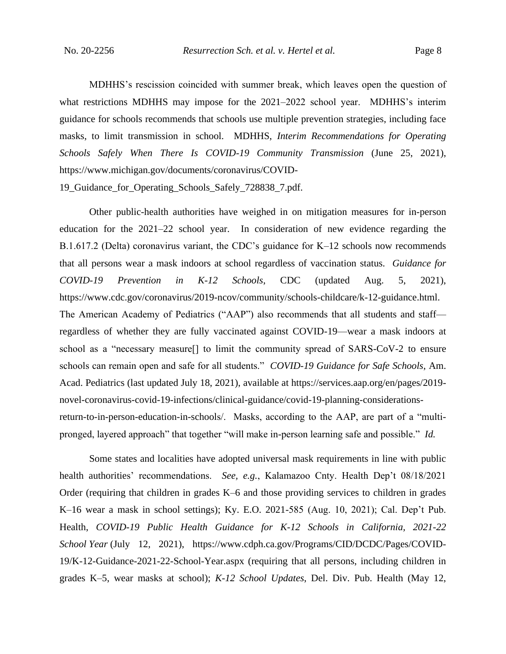MDHHS's rescission coincided with summer break, which leaves open the question of what restrictions MDHHS may impose for the 2021–2022 school year. MDHHS's interim guidance for schools recommends that schools use multiple prevention strategies, including face masks, to limit transmission in school. MDHHS, *Interim Recommendations for Operating Schools Safely When There Is COVID-19 Community Transmission* (June 25, 2021), https://www.michigan.gov/documents/coronavirus/COVID-

19 Guidance for Operating Schools Safely 728838 7.pdf.

Other public-health authorities have weighed in on mitigation measures for in-person education for the 2021–22 school year. In consideration of new evidence regarding the B.1.617.2 (Delta) coronavirus variant, the CDC's guidance for K–12 schools now recommends that all persons wear a mask indoors at school regardless of vaccination status. *Guidance for COVID-19 Prevention in K-12 Schools*, CDC (updated Aug. 5, 2021), https://www.cdc.gov/coronavirus/2019-ncov/community/schools-childcare/k-12-guidance.html. The American Academy of Pediatrics ("AAP") also recommends that all students and staff regardless of whether they are fully vaccinated against COVID-19—wear a mask indoors at school as a "necessary measure[] to limit the community spread of SARS-CoV-2 to ensure schools can remain open and safe for all students." *COVID-19 Guidance for Safe Schools*, Am. Acad. Pediatrics (last updated July 18, 2021), available at https://services.aap.org/en/pages/2019 novel-coronavirus-covid-19-infections/clinical-guidance/covid-19-planning-considerationsreturn-to-in-person-education-in-schools/. Masks, according to the AAP, are part of a "multipronged, layered approach" that together "will make in-person learning safe and possible." *Id.*

Some states and localities have adopted universal mask requirements in line with public health authorities' recommendations. *See, e.g.*, Kalamazoo Cnty. Health Dep't 08/18/2021 Order (requiring that children in grades K–6 and those providing services to children in grades K–16 wear a mask in school settings); Ky. E.O. 2021-585 (Aug. 10, 2021); Cal. Dep't Pub. Health, *COVID-19 Public Health Guidance for K-12 Schools in California, 2021-22 School Year* (July 12, 2021), https://www.cdph.ca.gov/Programs/CID/DCDC/Pages/COVID-19/K-12-Guidance-2021-22-School-Year.aspx (requiring that all persons, including children in grades K–5, wear masks at school); *K-12 School Updates*, Del. Div. Pub. Health (May 12,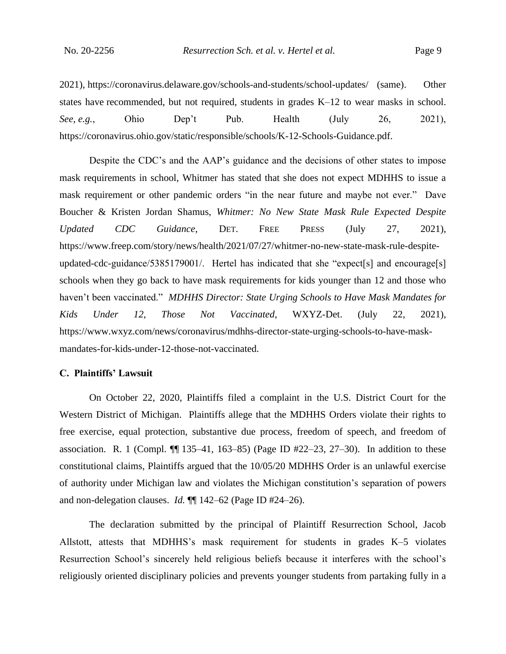2021), https://coronavirus.delaware.gov/schools-and-students/school-updates/ (same). Other states have recommended, but not required, students in grades K–12 to wear masks in school. *See, e.g.*, Ohio Dep't Pub. Health (July 26, 2021), https://coronavirus.ohio.gov/static/responsible/schools/K-12-Schools-Guidance.pdf.

Despite the CDC's and the AAP's guidance and the decisions of other states to impose mask requirements in school, Whitmer has stated that she does not expect MDHHS to issue a mask requirement or other pandemic orders "in the near future and maybe not ever." Dave Boucher & Kristen Jordan Shamus, *Whitmer: No New State Mask Rule Expected Despite Updated CDC Guidance*, DET. FREE PRESS (July 27, 2021), https://www.freep.com/story/news/health/2021/07/27/whitmer-no-new-state-mask-rule-despiteupdated-cdc-guidance/5385179001/. Hertel has indicated that she "expect[s] and encourage[s] schools when they go back to have mask requirements for kids younger than 12 and those who haven't been vaccinated." *MDHHS Director: State Urging Schools to Have Mask Mandates for Kids Under 12, Those Not Vaccinated*, WXYZ-Det. (July 22, 2021), https://www.wxyz.com/news/coronavirus/mdhhs-director-state-urging-schools-to-have-maskmandates-for-kids-under-12-those-not-vaccinated.

#### **C. Plaintiffs' Lawsuit**

On October 22, 2020, Plaintiffs filed a complaint in the U.S. District Court for the Western District of Michigan. Plaintiffs allege that the MDHHS Orders violate their rights to free exercise, equal protection, substantive due process, freedom of speech, and freedom of association. R. 1 (Compl. ¶¶ 135–41, 163–85) (Page ID #22–23, 27–30). In addition to these constitutional claims, Plaintiffs argued that the 10/05/20 MDHHS Order is an unlawful exercise of authority under Michigan law and violates the Michigan constitution's separation of powers and non-delegation clauses. *Id.* ¶¶ 142–62 (Page ID #24–26).

The declaration submitted by the principal of Plaintiff Resurrection School, Jacob Allstott, attests that MDHHS's mask requirement for students in grades K–5 violates Resurrection School's sincerely held religious beliefs because it interferes with the school's religiously oriented disciplinary policies and prevents younger students from partaking fully in a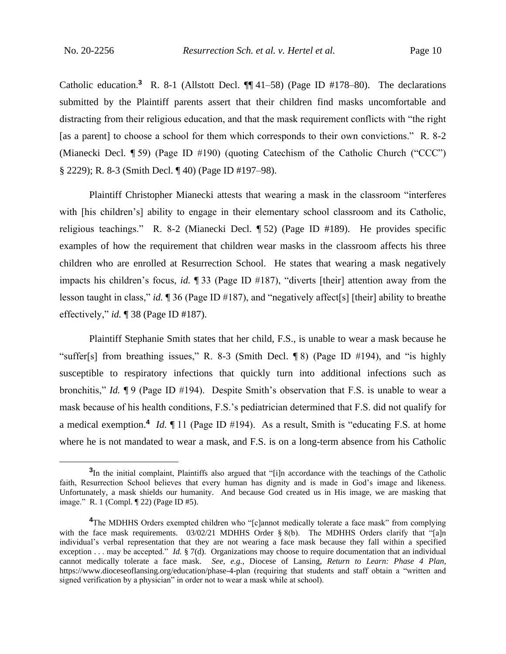Catholic education.<sup>3</sup> R. 8-1 (Allstott Decl.  $\P$  41–58) (Page ID #178–80). The declarations submitted by the Plaintiff parents assert that their children find masks uncomfortable and distracting from their religious education, and that the mask requirement conflicts with "the right [as a parent] to choose a school for them which corresponds to their own convictions." R. 8-2 (Mianecki Decl. ¶ 59) (Page ID #190) (quoting Catechism of the Catholic Church ("CCC") § 2229); R. 8-3 (Smith Decl. ¶ 40) (Page ID #197–98).

Plaintiff Christopher Mianecki attests that wearing a mask in the classroom "interferes with [his children's] ability to engage in their elementary school classroom and its Catholic, religious teachings." R. 8-2 (Mianecki Decl. ¶ 52) (Page ID #189). He provides specific examples of how the requirement that children wear masks in the classroom affects his three children who are enrolled at Resurrection School. He states that wearing a mask negatively impacts his children's focus, *id.* ¶ 33 (Page ID #187), "diverts [their] attention away from the lesson taught in class," *id.* ¶ 36 (Page ID #187), and "negatively affect[s] [their] ability to breathe effectively," *id.* ¶ 38 (Page ID #187).

Plaintiff Stephanie Smith states that her child, F.S., is unable to wear a mask because he "suffer[s] from breathing issues," R. 8-3 (Smith Decl. ¶ 8) (Page ID #194), and "is highly susceptible to respiratory infections that quickly turn into additional infections such as bronchitis," *Id.* ¶ 9 (Page ID #194). Despite Smith's observation that F.S. is unable to wear a mask because of his health conditions, F.S.'s pediatrician determined that F.S. did not qualify for a medical exemption.**<sup>4</sup>** *Id.* ¶ 11 (Page ID #194). As a result, Smith is "educating F.S. at home where he is not mandated to wear a mask, and F.S. is on a long-term absence from his Catholic

<sup>&</sup>lt;sup>3</sup>In the initial complaint, Plaintiffs also argued that "[i]n accordance with the teachings of the Catholic faith, Resurrection School believes that every human has dignity and is made in God's image and likeness. Unfortunately, a mask shields our humanity. And because God created us in His image, we are masking that image." R. 1 (Compl. ¶ 22) (Page ID #5).

**<sup>4</sup>**The MDHHS Orders exempted children who "[c]annot medically tolerate a face mask" from complying with the face mask requirements. 03/02/21 MDHHS Order § 8(b). The MDHHS Orders clarify that "[a]n individual's verbal representation that they are not wearing a face mask because they fall within a specified exception . . . may be accepted." *Id.* § 7(d). Organizations may choose to require documentation that an individual cannot medically tolerate a face mask. *See, e.g.*, Diocese of Lansing, *Return to Learn: Phase 4 Plan*, https://www.dioceseoflansing.org/education/phase-4-plan (requiring that students and staff obtain a "written and signed verification by a physician" in order not to wear a mask while at school).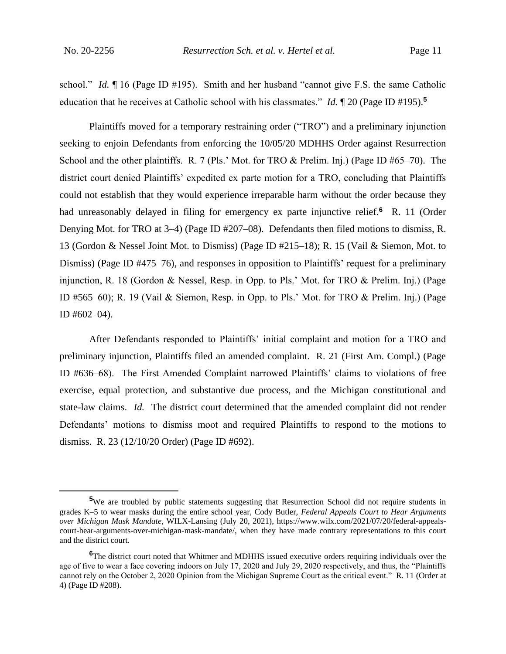school." *Id.* ¶ 16 (Page ID #195). Smith and her husband "cannot give F.S. the same Catholic education that he receives at Catholic school with his classmates." *Id.* ¶ 20 (Page ID #195).**<sup>5</sup>**

Plaintiffs moved for a temporary restraining order ("TRO") and a preliminary injunction seeking to enjoin Defendants from enforcing the 10/05/20 MDHHS Order against Resurrection School and the other plaintiffs. R. 7 (Pls.' Mot. for TRO & Prelim. Inj.) (Page ID #65–70). The district court denied Plaintiffs' expedited ex parte motion for a TRO, concluding that Plaintiffs could not establish that they would experience irreparable harm without the order because they had unreasonably delayed in filing for emergency ex parte injunctive relief.**<sup>6</sup>** R. 11 (Order Denying Mot. for TRO at 3–4) (Page ID #207–08). Defendants then filed motions to dismiss, R. 13 (Gordon & Nessel Joint Mot. to Dismiss) (Page ID #215–18); R. 15 (Vail & Siemon, Mot. to Dismiss) (Page ID #475–76), and responses in opposition to Plaintiffs' request for a preliminary injunction, R. 18 (Gordon & Nessel, Resp. in Opp. to Pls.' Mot. for TRO & Prelim. Inj.) (Page ID #565–60); R. 19 (Vail & Siemon, Resp. in Opp. to Pls.' Mot. for TRO & Prelim. Inj.) (Page ID #602–04).

After Defendants responded to Plaintiffs' initial complaint and motion for a TRO and preliminary injunction, Plaintiffs filed an amended complaint. R. 21 (First Am. Compl.) (Page ID #636–68). The First Amended Complaint narrowed Plaintiffs' claims to violations of free exercise, equal protection, and substantive due process, and the Michigan constitutional and state-law claims. *Id.* The district court determined that the amended complaint did not render Defendants' motions to dismiss moot and required Plaintiffs to respond to the motions to dismiss. R. 23 (12/10/20 Order) (Page ID #692).

<sup>&</sup>lt;sup>5</sup>We are troubled by public statements suggesting that Resurrection School did not require students in grades K–5 to wear masks during the entire school year, Cody Butler, *Federal Appeals Court to Hear Arguments over Michigan Mask Mandate*, WILX-Lansing (July 20, 2021), https://www.wilx.com/2021/07/20/federal-appealscourt-hear-arguments-over-michigan-mask-mandate/, when they have made contrary representations to this court and the district court.

<sup>&</sup>lt;sup>6</sup>The district court noted that Whitmer and MDHHS issued executive orders requiring individuals over the age of five to wear a face covering indoors on July 17, 2020 and July 29, 2020 respectively, and thus, the "Plaintiffs cannot rely on the October 2, 2020 Opinion from the Michigan Supreme Court as the critical event." R. 11 (Order at 4) (Page ID #208).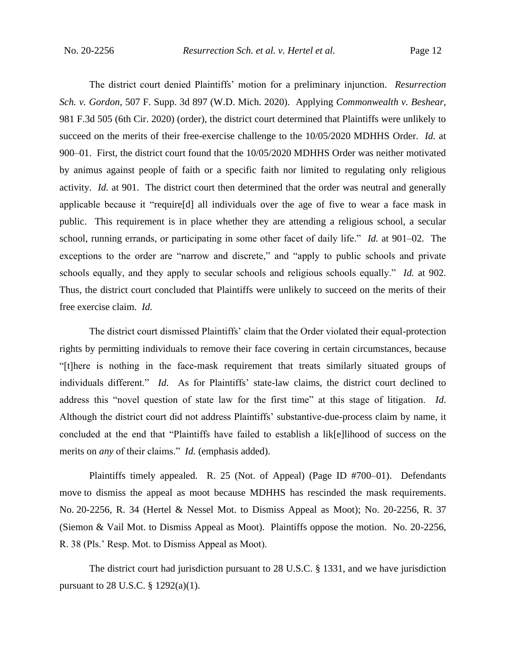The district court denied Plaintiffs' motion for a preliminary injunction. *Resurrection Sch. v. Gordon*, 507 F. Supp. 3d 897 (W.D. Mich. 2020). Applying *Commonwealth v. Beshear*, 981 F.3d 505 (6th Cir. 2020) (order), the district court determined that Plaintiffs were unlikely to succeed on the merits of their free-exercise challenge to the 10/05/2020 MDHHS Order. *Id.* at 900–01. First, the district court found that the 10/05/2020 MDHHS Order was neither motivated by animus against people of faith or a specific faith nor limited to regulating only religious activity. *Id.* at 901. The district court then determined that the order was neutral and generally applicable because it "require[d] all individuals over the age of five to wear a face mask in public. This requirement is in place whether they are attending a religious school, a secular school, running errands, or participating in some other facet of daily life." *Id.* at 901–02. The exceptions to the order are "narrow and discrete," and "apply to public schools and private schools equally, and they apply to secular schools and religious schools equally." *Id.* at 902. Thus, the district court concluded that Plaintiffs were unlikely to succeed on the merits of their free exercise claim. *Id.*

The district court dismissed Plaintiffs' claim that the Order violated their equal-protection rights by permitting individuals to remove their face covering in certain circumstances, because "[t]here is nothing in the face-mask requirement that treats similarly situated groups of individuals different." *Id*. As for Plaintiffs' state-law claims, the district court declined to address this "novel question of state law for the first time" at this stage of litigation. *Id*. Although the district court did not address Plaintiffs' substantive-due-process claim by name, it concluded at the end that "Plaintiffs have failed to establish a lik[e]lihood of success on the merits on *any* of their claims." *Id.* (emphasis added).

Plaintiffs timely appealed. R. 25 (Not. of Appeal) (Page ID #700–01). Defendants move to dismiss the appeal as moot because MDHHS has rescinded the mask requirements. No. 20-2256, R. 34 (Hertel & Nessel Mot. to Dismiss Appeal as Moot); No. 20-2256, R. 37 (Siemon & Vail Mot. to Dismiss Appeal as Moot). Plaintiffs oppose the motion. No. 20-2256, R. 38 (Pls.' Resp. Mot. to Dismiss Appeal as Moot).

The district court had jurisdiction pursuant to 28 U.S.C. § 1331, and we have jurisdiction pursuant to 28 U.S.C. § 1292(a)(1).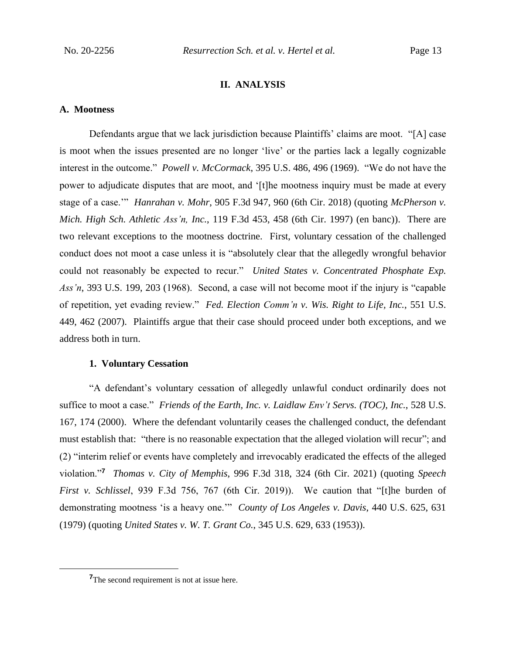#### **II. ANALYSIS**

#### **A. Mootness**

Defendants argue that we lack jurisdiction because Plaintiffs' claims are moot. "[A] case is moot when the issues presented are no longer 'live' or the parties lack a legally cognizable interest in the outcome." *Powell v. McCormack*, 395 U.S. 486, 496 (1969). "We do not have the power to adjudicate disputes that are moot, and '[t]he mootness inquiry must be made at every stage of a case.'" *Hanrahan v. Mohr*, 905 F.3d 947, 960 (6th Cir. 2018) (quoting *McPherson v. Mich. High Sch. Athletic Ass'n, Inc.*, 119 F.3d 453, 458 (6th Cir. 1997) (en banc)). There are two relevant exceptions to the mootness doctrine. First, voluntary cessation of the challenged conduct does not moot a case unless it is "absolutely clear that the allegedly wrongful behavior could not reasonably be expected to recur." *United States v. Concentrated Phosphate Exp. Ass'n*, 393 U.S. 199, 203 (1968). Second, a case will not become moot if the injury is "capable of repetition, yet evading review." *Fed. Election Comm'n v. Wis. Right to Life, Inc.*, 551 U.S. 449, 462 (2007). Plaintiffs argue that their case should proceed under both exceptions, and we address both in turn.

#### **1. Voluntary Cessation**

"A defendant's voluntary cessation of allegedly unlawful conduct ordinarily does not suffice to moot a case." *Friends of the Earth, Inc. v. Laidlaw Env't Servs. (TOC), Inc.*, 528 U.S. 167, 174 (2000). Where the defendant voluntarily ceases the challenged conduct, the defendant must establish that: "there is no reasonable expectation that the alleged violation will recur"; and (2) "interim relief or events have completely and irrevocably eradicated the effects of the alleged violation."**<sup>7</sup>** *Thomas v. City of Memphis*, 996 F.3d 318, 324 (6th Cir. 2021) (quoting *Speech First v. Schlissel*, 939 F.3d 756, 767 (6th Cir. 2019)). We caution that "[t]he burden of demonstrating mootness 'is a heavy one.'" *County of Los Angeles v. Davis*, 440 U.S. 625, 631 (1979) (quoting *United States v. W. T. Grant Co.*, 345 U.S. 629, 633 (1953)).

**<sup>7</sup>**The second requirement is not at issue here.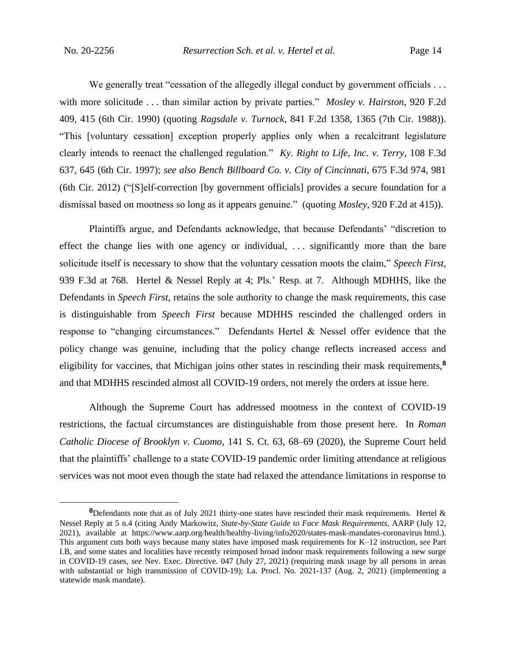We generally treat "cessation of the allegedly illegal conduct by government officials . . . with more solicitude . . . than similar action by private parties." *Mosley v. Hairston*, 920 F.2d 409, 415 (6th Cir. 1990) (quoting *Ragsdale v. Turnock*, 841 F.2d 1358, 1365 (7th Cir. 1988)). "This [voluntary cessation] exception properly applies only when a recalcitrant legislature clearly intends to reenact the challenged regulation." *Ky. Right to Life, Inc. v. Terry*, 108 F.3d 637, 645 (6th Cir. 1997); *see also Bench Billboard Co. v. City of Cincinnati*, 675 F.3d 974, 981 (6th Cir. 2012) ("[S]elf-correction [by government officials] provides a secure foundation for a dismissal based on mootness so long as it appears genuine." (quoting *Mosley*, 920 F.2d at 415)).

Plaintiffs argue, and Defendants acknowledge, that because Defendants' "discretion to effect the change lies with one agency or individual, . . . significantly more than the bare solicitude itself is necessary to show that the voluntary cessation moots the claim," *Speech First*, 939 F.3d at 768. Hertel & Nessel Reply at 4; Pls.' Resp. at 7. Although MDHHS, like the Defendants in *Speech First*, retains the sole authority to change the mask requirements, this case is distinguishable from *Speech First* because MDHHS rescinded the challenged orders in response to "changing circumstances." Defendants Hertel & Nessel offer evidence that the policy change was genuine, including that the policy change reflects increased access and eligibility for vaccines, that Michigan joins other states in rescinding their mask requirements,**<sup>8</sup>** and that MDHHS rescinded almost all COVID-19 orders, not merely the orders at issue here.

Although the Supreme Court has addressed mootness in the context of COVID-19 restrictions, the factual circumstances are distinguishable from those present here. In *Roman Catholic Diocese of Brooklyn v. Cuomo*, 141 S. Ct. 63, 68–69 (2020), the Supreme Court held that the plaintiffs' challenge to a state COVID-19 pandemic order limiting attendance at religious services was not moot even though the state had relaxed the attendance limitations in response to

**<sup>8</sup>**Defendants note that as of July 2021 thirty-one states have rescinded their mask requirements. Hertel & Nessel Reply at 5 n.4 (citing Andy Markowitz, *State-by-State Guide to Face Mask Requirements*, AARP (July 12, 2021), available at https://www.aarp.org/health/healthy-living/info2020/states-mask-mandates-coronavirus html.). This argument cuts both ways because many states have imposed mask requirements for K–12 instruction, *see* Part I.B, and some states and localities have recently reimposed broad indoor mask requirements following a new surge in COVID-19 cases, *see* Nev. Exec. Directive. 047 (July 27, 2021) (requiring mask usage by all persons in areas with substantial or high transmission of COVID-19); La. Procl. No. 2021-137 (Aug. 2, 2021) (implementing a statewide mask mandate).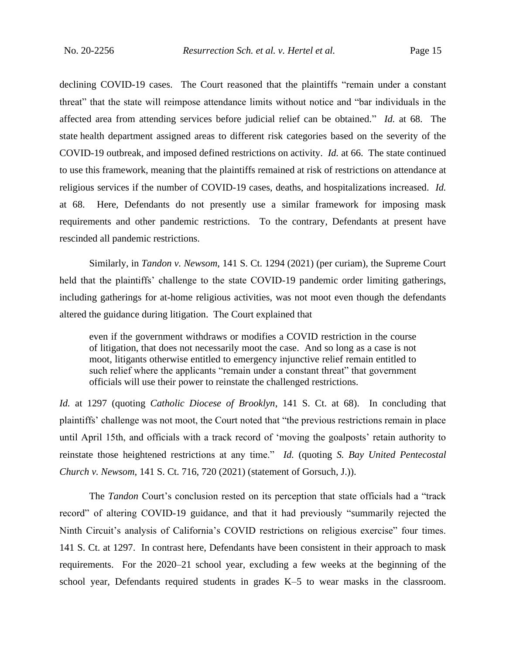declining COVID-19 cases. The Court reasoned that the plaintiffs "remain under a constant threat" that the state will reimpose attendance limits without notice and "bar individuals in the affected area from attending services before judicial relief can be obtained." *Id.* at 68. The state health department assigned areas to different risk categories based on the severity of the COVID-19 outbreak, and imposed defined restrictions on activity. *Id.* at 66. The state continued to use this framework, meaning that the plaintiffs remained at risk of restrictions on attendance at religious services if the number of COVID-19 cases, deaths, and hospitalizations increased. *Id.* at 68. Here, Defendants do not presently use a similar framework for imposing mask requirements and other pandemic restrictions. To the contrary, Defendants at present have rescinded all pandemic restrictions.

Similarly, in *Tandon v. Newsom*, 141 S. Ct. 1294 (2021) (per curiam), the Supreme Court held that the plaintiffs' challenge to the state COVID-19 pandemic order limiting gatherings, including gatherings for at-home religious activities, was not moot even though the defendants altered the guidance during litigation. The Court explained that

even if the government withdraws or modifies a COVID restriction in the course of litigation, that does not necessarily moot the case. And so long as a case is not moot, litigants otherwise entitled to emergency injunctive relief remain entitled to such relief where the applicants "remain under a constant threat" that government officials will use their power to reinstate the challenged restrictions.

*Id.* at 1297 (quoting *Catholic Diocese of Brooklyn*, 141 S. Ct. at 68). In concluding that plaintiffs' challenge was not moot, the Court noted that "the previous restrictions remain in place until April 15th, and officials with a track record of 'moving the goalposts' retain authority to reinstate those heightened restrictions at any time." *Id.* (quoting *S. Bay United Pentecostal Church v. Newsom*, 141 S. Ct. 716, 720 (2021) (statement of Gorsuch, J.)).

The *Tandon* Court's conclusion rested on its perception that state officials had a "track record" of altering COVID-19 guidance, and that it had previously "summarily rejected the Ninth Circuit's analysis of California's COVID restrictions on religious exercise" four times. 141 S. Ct. at 1297. In contrast here, Defendants have been consistent in their approach to mask requirements. For the 2020–21 school year, excluding a few weeks at the beginning of the school year, Defendants required students in grades K–5 to wear masks in the classroom.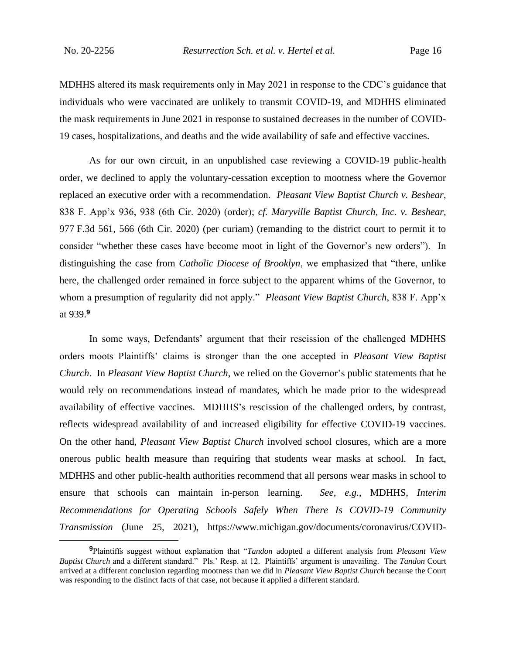MDHHS altered its mask requirements only in May 2021 in response to the CDC's guidance that individuals who were vaccinated are unlikely to transmit COVID-19, and MDHHS eliminated the mask requirements in June 2021 in response to sustained decreases in the number of COVID-19 cases, hospitalizations, and deaths and the wide availability of safe and effective vaccines.

As for our own circuit, in an unpublished case reviewing a COVID-19 public-health order, we declined to apply the voluntary-cessation exception to mootness where the Governor replaced an executive order with a recommendation. *Pleasant View Baptist Church v. Beshear*, 838 F. App'x 936, 938 (6th Cir. 2020) (order); *cf. Maryville Baptist Church, Inc. v. Beshear*, 977 F.3d 561, 566 (6th Cir. 2020) (per curiam) (remanding to the district court to permit it to consider "whether these cases have become moot in light of the Governor's new orders"). In distinguishing the case from *Catholic Diocese of Brooklyn*, we emphasized that "there, unlike here, the challenged order remained in force subject to the apparent whims of the Governor, to whom a presumption of regularity did not apply." *Pleasant View Baptist Church*, 838 F. App'x at 939.**<sup>9</sup>**

In some ways, Defendants' argument that their rescission of the challenged MDHHS orders moots Plaintiffs' claims is stronger than the one accepted in *Pleasant View Baptist Church*. In *Pleasant View Baptist Church*, we relied on the Governor's public statements that he would rely on recommendations instead of mandates, which he made prior to the widespread availability of effective vaccines. MDHHS's rescission of the challenged orders, by contrast, reflects widespread availability of and increased eligibility for effective COVID-19 vaccines. On the other hand, *Pleasant View Baptist Church* involved school closures, which are a more onerous public health measure than requiring that students wear masks at school. In fact, MDHHS and other public-health authorities recommend that all persons wear masks in school to ensure that schools can maintain in-person learning. *See, e.g.*, MDHHS, *Interim Recommendations for Operating Schools Safely When There Is COVID-19 Community Transmission* (June 25, 2021), https://www.michigan.gov/documents/coronavirus/COVID-

**<sup>9</sup>**Plaintiffs suggest without explanation that "*Tandon* adopted a different analysis from *Pleasant View Baptist Church* and a different standard." Pls.' Resp. at 12. Plaintiffs' argument is unavailing. The *Tandon* Court arrived at a different conclusion regarding mootness than we did in *Pleasant View Baptist Church* because the Court was responding to the distinct facts of that case, not because it applied a different standard.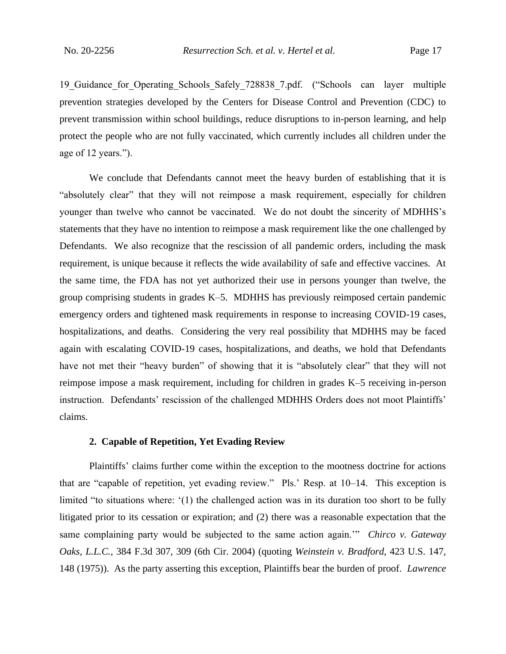19 Guidance for Operating Schools Safely 728838 7.pdf. ("Schools can layer multiple prevention strategies developed by the Centers for Disease Control and Prevention (CDC) to prevent transmission within school buildings, reduce disruptions to in-person learning, and help protect the people who are not fully vaccinated, which currently includes all children under the age of 12 years.").

We conclude that Defendants cannot meet the heavy burden of establishing that it is "absolutely clear" that they will not reimpose a mask requirement, especially for children younger than twelve who cannot be vaccinated. We do not doubt the sincerity of MDHHS's statements that they have no intention to reimpose a mask requirement like the one challenged by Defendants. We also recognize that the rescission of all pandemic orders, including the mask requirement, is unique because it reflects the wide availability of safe and effective vaccines. At the same time, the FDA has not yet authorized their use in persons younger than twelve, the group comprising students in grades K–5. MDHHS has previously reimposed certain pandemic emergency orders and tightened mask requirements in response to increasing COVID-19 cases, hospitalizations, and deaths. Considering the very real possibility that MDHHS may be faced again with escalating COVID-19 cases, hospitalizations, and deaths, we hold that Defendants have not met their "heavy burden" of showing that it is "absolutely clear" that they will not reimpose impose a mask requirement, including for children in grades K–5 receiving in-person instruction. Defendants' rescission of the challenged MDHHS Orders does not moot Plaintiffs' claims.

### **2. Capable of Repetition, Yet Evading Review**

Plaintiffs' claims further come within the exception to the mootness doctrine for actions that are "capable of repetition, yet evading review." Pls.' Resp. at 10–14. This exception is limited "to situations where: '(1) the challenged action was in its duration too short to be fully litigated prior to its cessation or expiration; and (2) there was a reasonable expectation that the same complaining party would be subjected to the same action again.'" *Chirco v. Gateway Oaks, L.L.C.*, 384 F.3d 307, 309 (6th Cir. 2004) (quoting *Weinstein v. Bradford*, 423 U.S. 147, 148 (1975)). As the party asserting this exception, Plaintiffs bear the burden of proof. *Lawrence*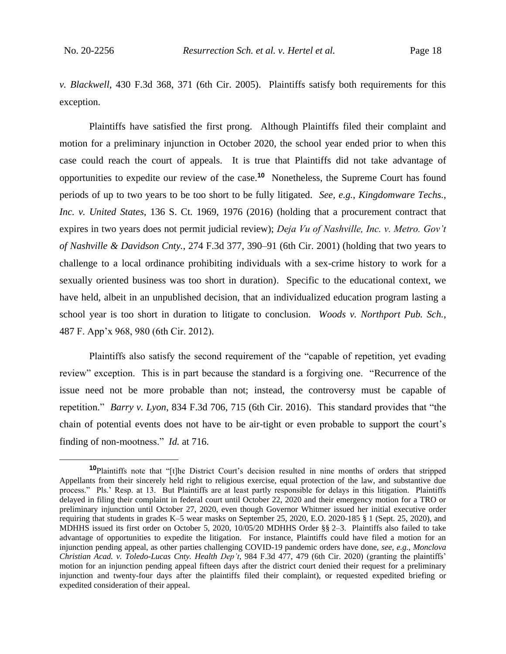*v. Blackwell*, 430 F.3d 368, 371 (6th Cir. 2005). Plaintiffs satisfy both requirements for this exception.

Plaintiffs have satisfied the first prong. Although Plaintiffs filed their complaint and motion for a preliminary injunction in October 2020, the school year ended prior to when this case could reach the court of appeals. It is true that Plaintiffs did not take advantage of opportunities to expedite our review of the case.**<sup>10</sup>** Nonetheless, the Supreme Court has found periods of up to two years to be too short to be fully litigated. *See, e.g.*, *Kingdomware Techs., Inc. v. United States*, 136 S. Ct. 1969, 1976 (2016) (holding that a procurement contract that expires in two years does not permit judicial review); *Deja Vu of Nashville, Inc. v. Metro. Gov't of Nashville & Davidson Cnty.*, 274 F.3d 377, 390–91 (6th Cir. 2001) (holding that two years to challenge to a local ordinance prohibiting individuals with a sex-crime history to work for a sexually oriented business was too short in duration). Specific to the educational context, we have held, albeit in an unpublished decision, that an individualized education program lasting a school year is too short in duration to litigate to conclusion. *Woods v. Northport Pub. Sch.*, 487 F. App'x 968, 980 (6th Cir. 2012).

Plaintiffs also satisfy the second requirement of the "capable of repetition, yet evading review" exception. This is in part because the standard is a forgiving one. "Recurrence of the issue need not be more probable than not; instead, the controversy must be capable of repetition." *Barry v. Lyon*, 834 F.3d 706, 715 (6th Cir. 2016). This standard provides that "the chain of potential events does not have to be air-tight or even probable to support the court's finding of non-mootness." *Id.* at 716.

**<sup>10</sup>**Plaintiffs note that "[t]he District Court's decision resulted in nine months of orders that stripped Appellants from their sincerely held right to religious exercise, equal protection of the law, and substantive due process." Pls.' Resp. at 13. But Plaintiffs are at least partly responsible for delays in this litigation. Plaintiffs delayed in filing their complaint in federal court until October 22, 2020 and their emergency motion for a TRO or preliminary injunction until October 27, 2020, even though Governor Whitmer issued her initial executive order requiring that students in grades K–5 wear masks on September 25, 2020, E.O. 2020-185 § 1 (Sept. 25, 2020), and MDHHS issued its first order on October 5, 2020, 10/05/20 MDHHS Order §§ 2–3. Plaintiffs also failed to take advantage of opportunities to expedite the litigation. For instance, Plaintiffs could have filed a motion for an injunction pending appeal, as other parties challenging COVID-19 pandemic orders have done, *see, e.g.*, *Monclova Christian Acad. v. Toledo-Lucas Cnty. Health Dep't*, 984 F.3d 477, 479 (6th Cir. 2020) (granting the plaintiffs' motion for an injunction pending appeal fifteen days after the district court denied their request for a preliminary injunction and twenty-four days after the plaintiffs filed their complaint), or requested expedited briefing or expedited consideration of their appeal.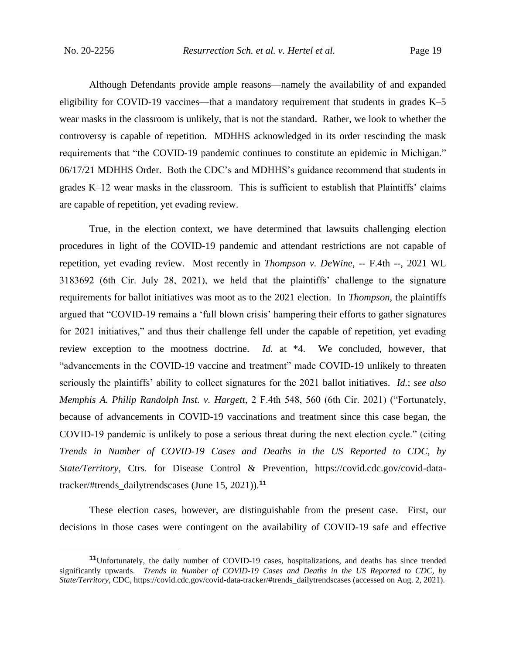Although Defendants provide ample reasons—namely the availability of and expanded eligibility for COVID-19 vaccines—that a mandatory requirement that students in grades K–5 wear masks in the classroom is unlikely, that is not the standard. Rather, we look to whether the controversy is capable of repetition. MDHHS acknowledged in its order rescinding the mask requirements that "the COVID-19 pandemic continues to constitute an epidemic in Michigan." 06/17/21 MDHHS Order. Both the CDC's and MDHHS's guidance recommend that students in grades K–12 wear masks in the classroom. This is sufficient to establish that Plaintiffs' claims are capable of repetition, yet evading review.

True, in the election context, we have determined that lawsuits challenging election procedures in light of the COVID-19 pandemic and attendant restrictions are not capable of repetition, yet evading review. Most recently in *Thompson v. DeWine*, -- F.4th --, 2021 WL 3183692 (6th Cir. July 28, 2021), we held that the plaintiffs' challenge to the signature requirements for ballot initiatives was moot as to the 2021 election. In *Thompson*, the plaintiffs argued that "COVID-19 remains a 'full blown crisis' hampering their efforts to gather signatures for 2021 initiatives," and thus their challenge fell under the capable of repetition, yet evading review exception to the mootness doctrine. *Id.* at \*4. We concluded, however, that "advancements in the COVID-19 vaccine and treatment" made COVID-19 unlikely to threaten seriously the plaintiffs' ability to collect signatures for the 2021 ballot initiatives. *Id.*; *see also Memphis A. Philip Randolph Inst. v. Hargett*, 2 F.4th 548, 560 (6th Cir. 2021) ("Fortunately, because of advancements in COVID-19 vaccinations and treatment since this case began, the COVID-19 pandemic is unlikely to pose a serious threat during the next election cycle." (citing *Trends in Number of COVID-19 Cases and Deaths in the US Reported to CDC, by State/Territory*, Ctrs. for Disease Control & Prevention, https://covid.cdc.gov/covid-datatracker/#trends\_dailytrendscases (June 15, 2021)).**<sup>11</sup>**

These election cases, however, are distinguishable from the present case. First, our decisions in those cases were contingent on the availability of COVID-19 safe and effective

**<sup>11</sup>**Unfortunately, the daily number of COVID-19 cases, hospitalizations, and deaths has since trended significantly upwards. *Trends in Number of COVID-19 Cases and Deaths in the US Reported to CDC, by State/Territory*, CDC, https://covid.cdc.gov/covid-data-tracker/#trends\_dailytrendscases (accessed on Aug. 2, 2021).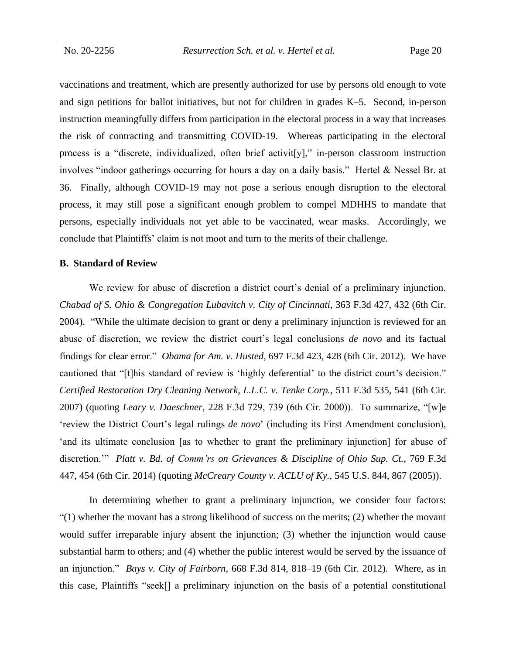vaccinations and treatment, which are presently authorized for use by persons old enough to vote and sign petitions for ballot initiatives, but not for children in grades K–5. Second, in-person instruction meaningfully differs from participation in the electoral process in a way that increases the risk of contracting and transmitting COVID-19. Whereas participating in the electoral process is a "discrete, individualized, often brief activity," in-person classroom instruction involves "indoor gatherings occurring for hours a day on a daily basis." Hertel & Nessel Br. at 36. Finally, although COVID-19 may not pose a serious enough disruption to the electoral process, it may still pose a significant enough problem to compel MDHHS to mandate that persons, especially individuals not yet able to be vaccinated, wear masks. Accordingly, we conclude that Plaintiffs' claim is not moot and turn to the merits of their challenge.

#### **B. Standard of Review**

We review for abuse of discretion a district court's denial of a preliminary injunction. *Chabad of S. Ohio & Congregation Lubavitch v. City of Cincinnati*, 363 F.3d 427, 432 (6th Cir. 2004). "While the ultimate decision to grant or deny a preliminary injunction is reviewed for an abuse of discretion, we review the district court's legal conclusions *de novo* and its factual findings for clear error." *Obama for Am. v. Husted*, 697 F.3d 423, 428 (6th Cir. 2012). We have cautioned that "[t]his standard of review is 'highly deferential' to the district court's decision." *Certified Restoration Dry Cleaning Network, L.L.C. v. Tenke Corp.*, 511 F.3d 535, 541 (6th Cir. 2007) (quoting *Leary v. Daeschner*, 228 F.3d 729, 739 (6th Cir. 2000)). To summarize, "[w]e 'review the District Court's legal rulings *de novo*' (including its First Amendment conclusion), 'and its ultimate conclusion [as to whether to grant the preliminary injunction] for abuse of discretion.'" *Platt v. Bd. of Comm'rs on Grievances & Discipline of Ohio Sup. Ct.*, 769 F.3d 447, 454 (6th Cir. 2014) (quoting *McCreary County v. ACLU of Ky.*, 545 U.S. 844, 867 (2005)).

In determining whether to grant a preliminary injunction, we consider four factors: "(1) whether the movant has a strong likelihood of success on the merits; (2) whether the movant would suffer irreparable injury absent the injunction; (3) whether the injunction would cause substantial harm to others; and (4) whether the public interest would be served by the issuance of an injunction." *Bays v. City of Fairborn*, 668 F.3d 814, 818–19 (6th Cir. 2012). Where, as in this case, Plaintiffs "seek[] a preliminary injunction on the basis of a potential constitutional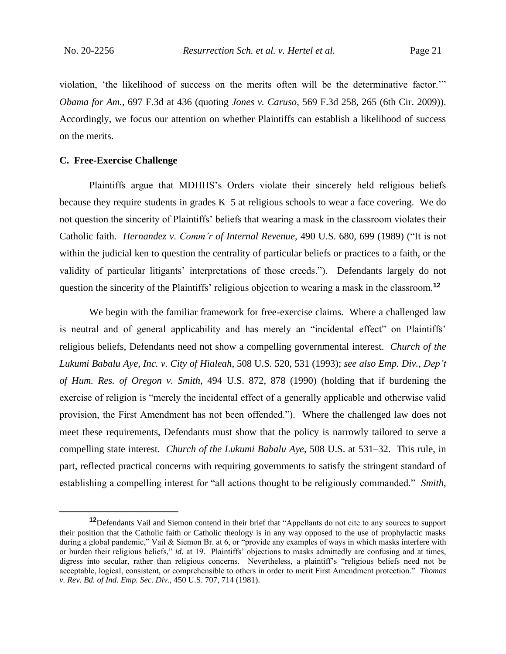violation, 'the likelihood of success on the merits often will be the determinative factor.'" *Obama for Am.*, 697 F.3d at 436 (quoting *Jones v. Caruso*, 569 F.3d 258, 265 (6th Cir. 2009)). Accordingly, we focus our attention on whether Plaintiffs can establish a likelihood of success on the merits.

#### **C. Free-Exercise Challenge**

Plaintiffs argue that MDHHS's Orders violate their sincerely held religious beliefs because they require students in grades K–5 at religious schools to wear a face covering. We do not question the sincerity of Plaintiffs' beliefs that wearing a mask in the classroom violates their Catholic faith. *Hernandez v. Comm'r of Internal Revenue*, 490 U.S. 680, 699 (1989) ("It is not within the judicial ken to question the centrality of particular beliefs or practices to a faith, or the validity of particular litigants' interpretations of those creeds."). Defendants largely do not question the sincerity of the Plaintiffs' religious objection to wearing a mask in the classroom.**<sup>12</sup>**

We begin with the familiar framework for free-exercise claims. Where a challenged law is neutral and of general applicability and has merely an "incidental effect" on Plaintiffs' religious beliefs, Defendants need not show a compelling governmental interest. *Church of the Lukumi Babalu Aye, Inc. v. City of Hialeah*, 508 U.S. 520, 531 (1993); *see also Emp. Div., Dep't of Hum. Res. of Oregon v. Smith*, 494 U.S. 872, 878 (1990) (holding that if burdening the exercise of religion is "merely the incidental effect of a generally applicable and otherwise valid provision, the First Amendment has not been offended."). Where the challenged law does not meet these requirements, Defendants must show that the policy is narrowly tailored to serve a compelling state interest. *Church of the Lukumi Babalu Aye*, 508 U.S. at 531–32. This rule, in part, reflected practical concerns with requiring governments to satisfy the stringent standard of establishing a compelling interest for "all actions thought to be religiously commanded." *Smith*,

**<sup>12</sup>**Defendants Vail and Siemon contend in their brief that "Appellants do not cite to any sources to support their position that the Catholic faith or Catholic theology is in any way opposed to the use of prophylactic masks during a global pandemic," Vail & Siemon Br. at 6, or "provide any examples of ways in which masks interfere with or burden their religious beliefs," *id.* at 19. Plaintiffs' objections to masks admittedly are confusing and at times, digress into secular, rather than religious concerns. Nevertheless, a plaintiff's "religious beliefs need not be acceptable, logical, consistent, or comprehensible to others in order to merit First Amendment protection." *Thomas v. Rev. Bd. of Ind. Emp. Sec. Div.*, 450 U.S. 707, 714 (1981).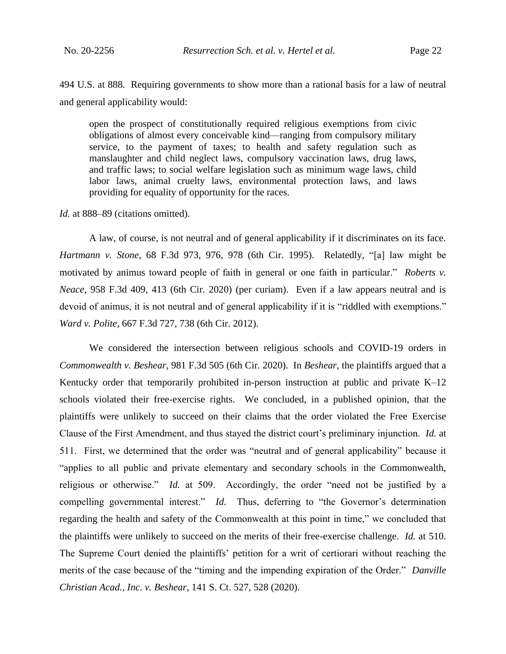494 U.S. at 888. Requiring governments to show more than a rational basis for a law of neutral and general applicability would:

open the prospect of constitutionally required religious exemptions from civic obligations of almost every conceivable kind—ranging from compulsory military service, to the payment of taxes; to health and safety regulation such as manslaughter and child neglect laws, compulsory vaccination laws, drug laws, and traffic laws; to social welfare legislation such as minimum wage laws, child labor laws, animal cruelty laws, environmental protection laws, and laws providing for equality of opportunity for the races.

*Id.* at 888–89 (citations omitted).

A law, of course, is not neutral and of general applicability if it discriminates on its face. *Hartmann v. Stone*, 68 F.3d 973, 976, 978 (6th Cir. 1995). Relatedly, "[a] law might be motivated by animus toward people of faith in general or one faith in particular." *Roberts v. Neace*, 958 F.3d 409, 413 (6th Cir. 2020) (per curiam). Even if a law appears neutral and is devoid of animus, it is not neutral and of general applicability if it is "riddled with exemptions." *Ward v. Polite*, 667 F.3d 727, 738 (6th Cir. 2012).

We considered the intersection between religious schools and COVID-19 orders in *Commonwealth v. Beshear*, 981 F.3d 505 (6th Cir. 2020). In *Beshear*, the plaintiffs argued that a Kentucky order that temporarily prohibited in-person instruction at public and private K–12 schools violated their free-exercise rights. We concluded, in a published opinion, that the plaintiffs were unlikely to succeed on their claims that the order violated the Free Exercise Clause of the First Amendment, and thus stayed the district court's preliminary injunction. *Id.* at 511. First, we determined that the order was "neutral and of general applicability" because it "applies to all public and private elementary and secondary schools in the Commonwealth, religious or otherwise." *Id.* at 509. Accordingly, the order "need not be justified by a compelling governmental interest." *Id.* Thus, deferring to "the Governor's determination regarding the health and safety of the Commonwealth at this point in time," we concluded that the plaintiffs were unlikely to succeed on the merits of their free-exercise challenge. *Id.* at 510. The Supreme Court denied the plaintiffs' petition for a writ of certiorari without reaching the merits of the case because of the "timing and the impending expiration of the Order." *Danville Christian Acad., Inc. v. Beshear*, 141 S. Ct. 527, 528 (2020).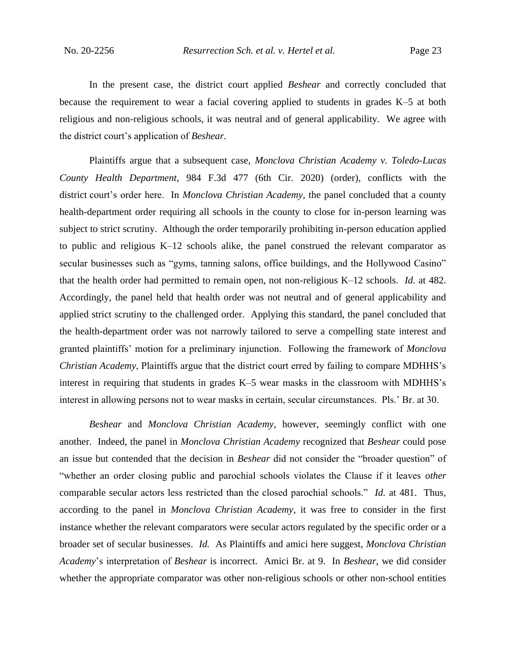In the present case, the district court applied *Beshear* and correctly concluded that because the requirement to wear a facial covering applied to students in grades K–5 at both religious and non-religious schools, it was neutral and of general applicability. We agree with the district court's application of *Beshear*.

Plaintiffs argue that a subsequent case, *Monclova Christian Academy v. Toledo-Lucas County Health Department*, 984 F.3d 477 (6th Cir. 2020) (order), conflicts with the district court's order here. In *Monclova Christian Academy*, the panel concluded that a county health-department order requiring all schools in the county to close for in-person learning was subject to strict scrutiny. Although the order temporarily prohibiting in-person education applied to public and religious K–12 schools alike, the panel construed the relevant comparator as secular businesses such as "gyms, tanning salons, office buildings, and the Hollywood Casino" that the health order had permitted to remain open, not non-religious K–12 schools. *Id.* at 482. Accordingly, the panel held that health order was not neutral and of general applicability and applied strict scrutiny to the challenged order. Applying this standard, the panel concluded that the health-department order was not narrowly tailored to serve a compelling state interest and granted plaintiffs' motion for a preliminary injunction. Following the framework of *Monclova Christian Academy*, Plaintiffs argue that the district court erred by failing to compare MDHHS's interest in requiring that students in grades K–5 wear masks in the classroom with MDHHS's interest in allowing persons not to wear masks in certain, secular circumstances. Pls.' Br. at 30.

*Beshear* and *Monclova Christian Academy*, however, seemingly conflict with one another. Indeed, the panel in *Monclova Christian Academy* recognized that *Beshear* could pose an issue but contended that the decision in *Beshear* did not consider the "broader question" of "whether an order closing public and parochial schools violates the Clause if it leaves *other* comparable secular actors less restricted than the closed parochial schools." *Id.* at 481. Thus, according to the panel in *Monclova Christian Academy*, it was free to consider in the first instance whether the relevant comparators were secular actors regulated by the specific order or a broader set of secular businesses. *Id.* As Plaintiffs and amici here suggest, *Monclova Christian Academy*'s interpretation of *Beshear* is incorrect. Amici Br. at 9. In *Beshear*, we did consider whether the appropriate comparator was other non-religious schools or other non-school entities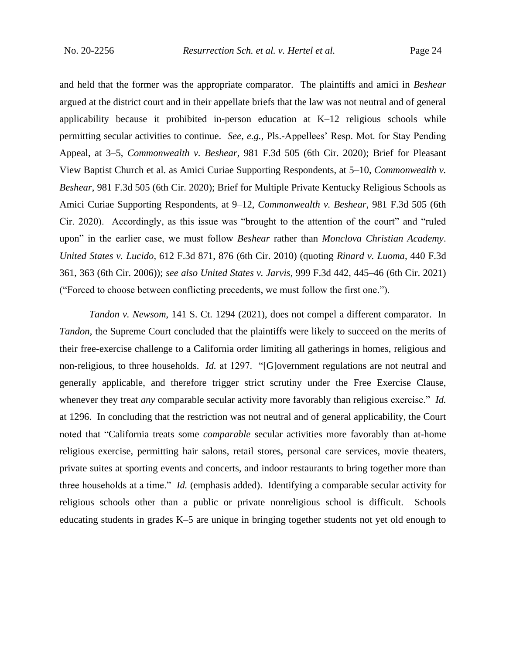and held that the former was the appropriate comparator. The plaintiffs and amici in *Beshear* argued at the district court and in their appellate briefs that the law was not neutral and of general applicability because it prohibited in-person education at K–12 religious schools while permitting secular activities to continue. *See, e.g.*, Pls.-Appellees' Resp. Mot. for Stay Pending Appeal, at 3–5, *Commonwealth v. Beshear*, 981 F.3d 505 (6th Cir. 2020); Brief for Pleasant View Baptist Church et al. as Amici Curiae Supporting Respondents, at 5–10, *Commonwealth v. Beshear*, 981 F.3d 505 (6th Cir. 2020); Brief for Multiple Private Kentucky Religious Schools as Amici Curiae Supporting Respondents, at 9–12, *Commonwealth v. Beshear*, 981 F.3d 505 (6th Cir. 2020). Accordingly, as this issue was "brought to the attention of the court" and "ruled upon" in the earlier case, we must follow *Beshear* rather than *Monclova Christian Academy*. *United States v. Lucido*, 612 F.3d 871, 876 (6th Cir. 2010) (quoting *Rinard v. Luoma*, 440 F.3d 361, 363 (6th Cir. 2006)); *see also United States v. Jarvis*, 999 F.3d 442, 445–46 (6th Cir. 2021) ("Forced to choose between conflicting precedents, we must follow the first one.").

*Tandon v. Newsom*, 141 S. Ct. 1294 (2021), does not compel a different comparator. In *Tandon*, the Supreme Court concluded that the plaintiffs were likely to succeed on the merits of their free-exercise challenge to a California order limiting all gatherings in homes, religious and non-religious, to three households. *Id.* at 1297. "[G]overnment regulations are not neutral and generally applicable, and therefore trigger strict scrutiny under the Free Exercise Clause, whenever they treat *any* comparable secular activity more favorably than religious exercise." *Id.* at 1296. In concluding that the restriction was not neutral and of general applicability, the Court noted that "California treats some *comparable* secular activities more favorably than at-home religious exercise, permitting hair salons, retail stores, personal care services, movie theaters, private suites at sporting events and concerts, and indoor restaurants to bring together more than three households at a time." *Id.* (emphasis added). Identifying a comparable secular activity for religious schools other than a public or private nonreligious school is difficult. Schools educating students in grades K–5 are unique in bringing together students not yet old enough to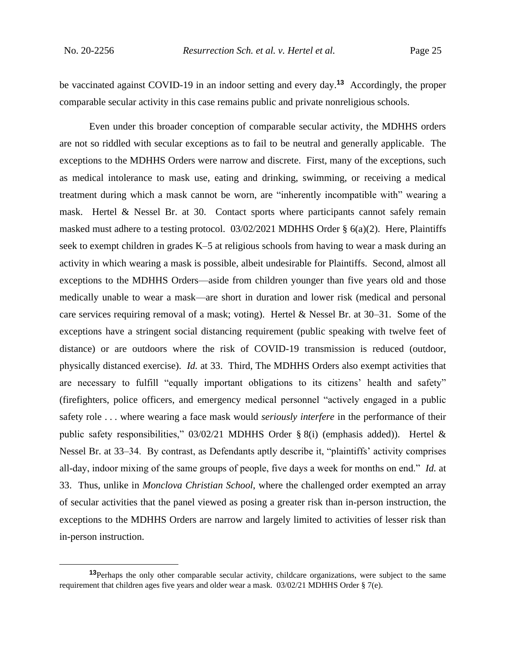be vaccinated against COVID-19 in an indoor setting and every day.**<sup>13</sup>** Accordingly, the proper comparable secular activity in this case remains public and private nonreligious schools.

Even under this broader conception of comparable secular activity, the MDHHS orders are not so riddled with secular exceptions as to fail to be neutral and generally applicable. The exceptions to the MDHHS Orders were narrow and discrete. First, many of the exceptions, such as medical intolerance to mask use, eating and drinking, swimming, or receiving a medical treatment during which a mask cannot be worn, are "inherently incompatible with" wearing a mask. Hertel & Nessel Br. at 30. Contact sports where participants cannot safely remain masked must adhere to a testing protocol. 03/02/2021 MDHHS Order § 6(a)(2). Here, Plaintiffs seek to exempt children in grades K–5 at religious schools from having to wear a mask during an activity in which wearing a mask is possible, albeit undesirable for Plaintiffs. Second, almost all exceptions to the MDHHS Orders—aside from children younger than five years old and those medically unable to wear a mask—are short in duration and lower risk (medical and personal care services requiring removal of a mask; voting). Hertel & Nessel Br. at 30–31. Some of the exceptions have a stringent social distancing requirement (public speaking with twelve feet of distance) or are outdoors where the risk of COVID-19 transmission is reduced (outdoor, physically distanced exercise). *Id.* at 33. Third, The MDHHS Orders also exempt activities that are necessary to fulfill "equally important obligations to its citizens' health and safety" (firefighters, police officers, and emergency medical personnel "actively engaged in a public safety role . . . where wearing a face mask would *seriously interfere* in the performance of their public safety responsibilities," 03/02/21 MDHHS Order § 8(i) (emphasis added)). Hertel & Nessel Br. at 33–34. By contrast, as Defendants aptly describe it, "plaintiffs' activity comprises all-day, indoor mixing of the same groups of people, five days a week for months on end." *Id.* at 33. Thus, unlike in *Monclova Christian School*, where the challenged order exempted an array of secular activities that the panel viewed as posing a greater risk than in-person instruction, the exceptions to the MDHHS Orders are narrow and largely limited to activities of lesser risk than in-person instruction.

**<sup>13</sup>**Perhaps the only other comparable secular activity, childcare organizations, were subject to the same requirement that children ages five years and older wear a mask. 03/02/21 MDHHS Order § 7(e).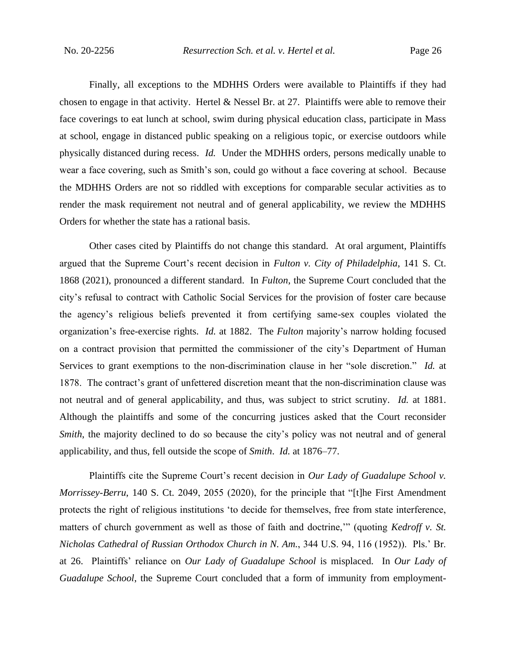Finally, all exceptions to the MDHHS Orders were available to Plaintiffs if they had chosen to engage in that activity. Hertel & Nessel Br. at 27. Plaintiffs were able to remove their face coverings to eat lunch at school, swim during physical education class, participate in Mass at school, engage in distanced public speaking on a religious topic, or exercise outdoors while physically distanced during recess. *Id.* Under the MDHHS orders, persons medically unable to wear a face covering, such as Smith's son, could go without a face covering at school. Because the MDHHS Orders are not so riddled with exceptions for comparable secular activities as to render the mask requirement not neutral and of general applicability, we review the MDHHS Orders for whether the state has a rational basis.

Other cases cited by Plaintiffs do not change this standard. At oral argument, Plaintiffs argued that the Supreme Court's recent decision in *Fulton v. City of Philadelphia*, 141 S. Ct. 1868 (2021), pronounced a different standard. In *Fulton*, the Supreme Court concluded that the city's refusal to contract with Catholic Social Services for the provision of foster care because the agency's religious beliefs prevented it from certifying same-sex couples violated the organization's free-exercise rights. *Id.* at 1882. The *Fulton* majority's narrow holding focused on a contract provision that permitted the commissioner of the city's Department of Human Services to grant exemptions to the non-discrimination clause in her "sole discretion." *Id.* at 1878. The contract's grant of unfettered discretion meant that the non-discrimination clause was not neutral and of general applicability, and thus, was subject to strict scrutiny. *Id.* at 1881. Although the plaintiffs and some of the concurring justices asked that the Court reconsider *Smith*, the majority declined to do so because the city's policy was not neutral and of general applicability, and thus, fell outside the scope of *Smith*. *Id.* at 1876–77.

Plaintiffs cite the Supreme Court's recent decision in *Our Lady of Guadalupe School v. Morrissey-Berru*, 140 S. Ct. 2049, 2055 (2020), for the principle that "[t]he First Amendment protects the right of religious institutions 'to decide for themselves, free from state interference, matters of church government as well as those of faith and doctrine,'" (quoting *Kedroff v. St. Nicholas Cathedral of Russian Orthodox Church in N. Am.*, 344 U.S. 94, 116 (1952)). Pls.' Br. at 26. Plaintiffs' reliance on *Our Lady of Guadalupe School* is misplaced. In *Our Lady of Guadalupe School*, the Supreme Court concluded that a form of immunity from employment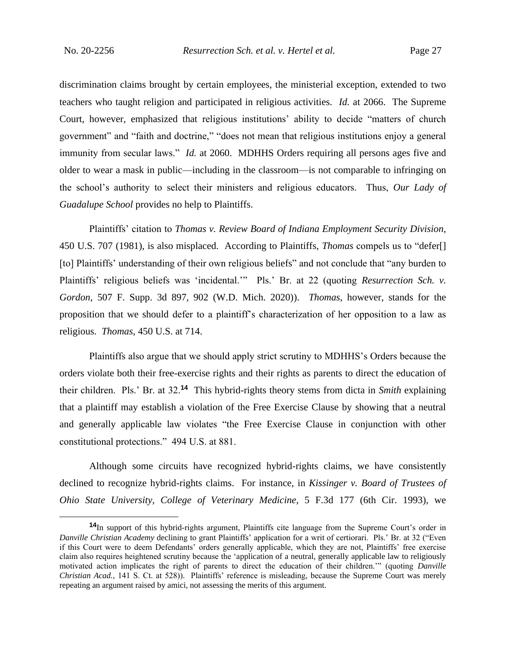discrimination claims brought by certain employees, the ministerial exception, extended to two teachers who taught religion and participated in religious activities. *Id.* at 2066. The Supreme Court, however, emphasized that religious institutions' ability to decide "matters of church government" and "faith and doctrine," "does not mean that religious institutions enjoy a general immunity from secular laws." *Id.* at 2060. MDHHS Orders requiring all persons ages five and older to wear a mask in public—including in the classroom—is not comparable to infringing on the school's authority to select their ministers and religious educators. Thus, *Our Lady of Guadalupe School* provides no help to Plaintiffs.

Plaintiffs' citation to *Thomas v. Review Board of Indiana Employment Security Division*, 450 U.S. 707 (1981), is also misplaced. According to Plaintiffs, *Thomas* compels us to "defer[] [to] Plaintiffs' understanding of their own religious beliefs" and not conclude that "any burden to Plaintiffs' religious beliefs was 'incidental.'" Pls.' Br. at 22 (quoting *Resurrection Sch. v. Gordon*, 507 F. Supp. 3d 897, 902 (W.D. Mich. 2020)). *Thomas*, however, stands for the proposition that we should defer to a plaintiff's characterization of her opposition to a law as religious. *Thomas*, 450 U.S. at 714.

Plaintiffs also argue that we should apply strict scrutiny to MDHHS's Orders because the orders violate both their free-exercise rights and their rights as parents to direct the education of their children. Pls.' Br. at 32.**<sup>14</sup>** This hybrid-rights theory stems from dicta in *Smith* explaining that a plaintiff may establish a violation of the Free Exercise Clause by showing that a neutral and generally applicable law violates "the Free Exercise Clause in conjunction with other constitutional protections." 494 U.S. at 881.

Although some circuits have recognized hybrid-rights claims, we have consistently declined to recognize hybrid-rights claims. For instance, in *Kissinger v. Board of Trustees of Ohio State University, College of Veterinary Medicine*, 5 F.3d 177 (6th Cir. 1993), we

**<sup>14</sup>**In support of this hybrid-rights argument, Plaintiffs cite language from the Supreme Court's order in *Danville Christian Academy* declining to grant Plaintiffs' application for a writ of certiorari. Pls.' Br. at 32 ("Even if this Court were to deem Defendants' orders generally applicable, which they are not, Plaintiffs' free exercise claim also requires heightened scrutiny because the 'application of a neutral, generally applicable law to religiously motivated action implicates the right of parents to direct the education of their children.'" (quoting *Danville Christian Acad.*, 141 S. Ct. at 528)). Plaintiffs' reference is misleading, because the Supreme Court was merely repeating an argument raised by amici, not assessing the merits of this argument.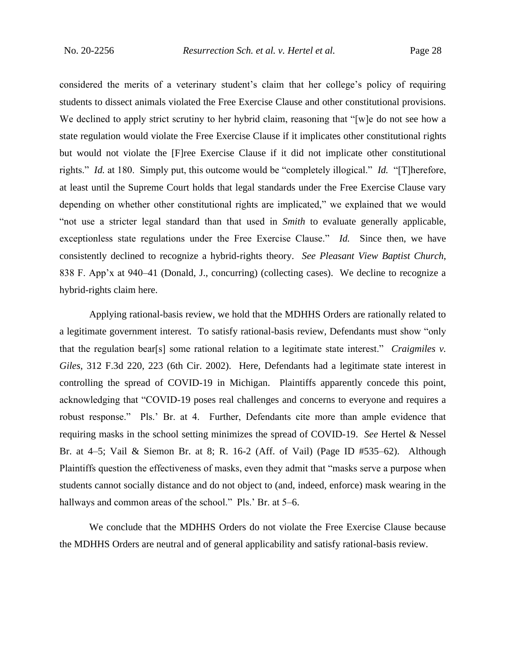considered the merits of a veterinary student's claim that her college's policy of requiring students to dissect animals violated the Free Exercise Clause and other constitutional provisions. We declined to apply strict scrutiny to her hybrid claim, reasoning that "[w]e do not see how a state regulation would violate the Free Exercise Clause if it implicates other constitutional rights but would not violate the [F]ree Exercise Clause if it did not implicate other constitutional rights." *Id.* at 180. Simply put, this outcome would be "completely illogical." *Id.* "[T]herefore, at least until the Supreme Court holds that legal standards under the Free Exercise Clause vary depending on whether other constitutional rights are implicated," we explained that we would "not use a stricter legal standard than that used in *Smith* to evaluate generally applicable, exceptionless state regulations under the Free Exercise Clause." *Id.* Since then, we have consistently declined to recognize a hybrid-rights theory. *See Pleasant View Baptist Church*, 838 F. App'x at 940–41 (Donald, J., concurring) (collecting cases). We decline to recognize a hybrid-rights claim here.

Applying rational-basis review, we hold that the MDHHS Orders are rationally related to a legitimate government interest. To satisfy rational-basis review, Defendants must show "only that the regulation bear[s] some rational relation to a legitimate state interest." *Craigmiles v. Giles*, 312 F.3d 220, 223 (6th Cir. 2002). Here, Defendants had a legitimate state interest in controlling the spread of COVID-19 in Michigan. Plaintiffs apparently concede this point, acknowledging that "COVID-19 poses real challenges and concerns to everyone and requires a robust response." Pls.' Br. at 4. Further, Defendants cite more than ample evidence that requiring masks in the school setting minimizes the spread of COVID-19. *See* Hertel & Nessel Br. at 4–5; Vail & Siemon Br. at 8; R. 16-2 (Aff. of Vail) (Page ID #535–62). Although Plaintiffs question the effectiveness of masks, even they admit that "masks serve a purpose when students cannot socially distance and do not object to (and, indeed, enforce) mask wearing in the hallways and common areas of the school." Pls.' Br. at 5–6.

We conclude that the MDHHS Orders do not violate the Free Exercise Clause because the MDHHS Orders are neutral and of general applicability and satisfy rational-basis review.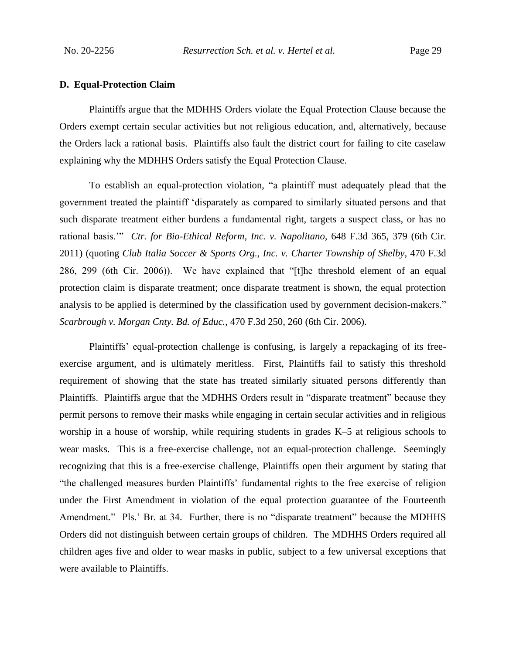#### **D. Equal-Protection Claim**

Plaintiffs argue that the MDHHS Orders violate the Equal Protection Clause because the Orders exempt certain secular activities but not religious education, and, alternatively, because the Orders lack a rational basis. Plaintiffs also fault the district court for failing to cite caselaw explaining why the MDHHS Orders satisfy the Equal Protection Clause.

To establish an equal-protection violation, "a plaintiff must adequately plead that the government treated the plaintiff 'disparately as compared to similarly situated persons and that such disparate treatment either burdens a fundamental right, targets a suspect class, or has no rational basis.'" *Ctr. for Bio-Ethical Reform, Inc. v. Napolitano*, 648 F.3d 365, 379 (6th Cir. 2011) (quoting *Club Italia Soccer & Sports Org., Inc. v. Charter Township of Shelby*, 470 F.3d 286, 299 (6th Cir. 2006)). We have explained that "[t]he threshold element of an equal protection claim is disparate treatment; once disparate treatment is shown, the equal protection analysis to be applied is determined by the classification used by government decision-makers." *Scarbrough v. Morgan Cnty. Bd. of Educ.*, 470 F.3d 250, 260 (6th Cir. 2006).

Plaintiffs' equal-protection challenge is confusing, is largely a repackaging of its freeexercise argument, and is ultimately meritless. First, Plaintiffs fail to satisfy this threshold requirement of showing that the state has treated similarly situated persons differently than Plaintiffs. Plaintiffs argue that the MDHHS Orders result in "disparate treatment" because they permit persons to remove their masks while engaging in certain secular activities and in religious worship in a house of worship, while requiring students in grades K–5 at religious schools to wear masks. This is a free-exercise challenge, not an equal-protection challenge. Seemingly recognizing that this is a free-exercise challenge, Plaintiffs open their argument by stating that "the challenged measures burden Plaintiffs' fundamental rights to the free exercise of religion under the First Amendment in violation of the equal protection guarantee of the Fourteenth Amendment." Pls.' Br. at 34*.* Further, there is no "disparate treatment" because the MDHHS Orders did not distinguish between certain groups of children. The MDHHS Orders required all children ages five and older to wear masks in public, subject to a few universal exceptions that were available to Plaintiffs.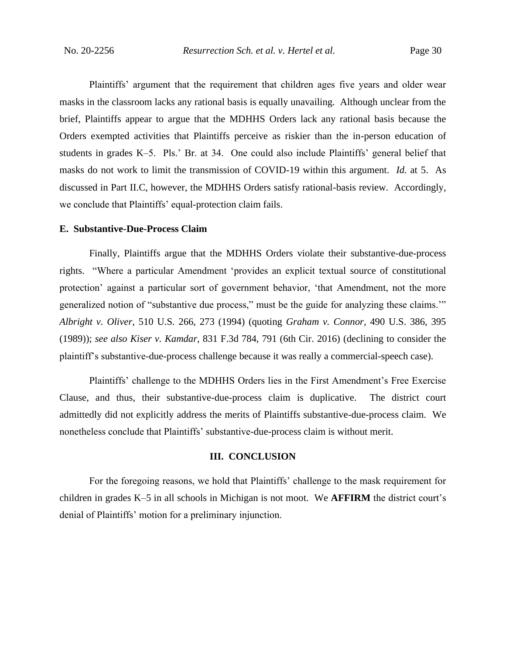Plaintiffs' argument that the requirement that children ages five years and older wear masks in the classroom lacks any rational basis is equally unavailing. Although unclear from the brief, Plaintiffs appear to argue that the MDHHS Orders lack any rational basis because the Orders exempted activities that Plaintiffs perceive as riskier than the in-person education of students in grades K–5. Pls.' Br. at 34. One could also include Plaintiffs' general belief that masks do not work to limit the transmission of COVID-19 within this argument. *Id.* at 5. As discussed in Part II.C, however, the MDHHS Orders satisfy rational-basis review. Accordingly, we conclude that Plaintiffs' equal-protection claim fails.

#### **E. Substantive-Due-Process Claim**

Finally, Plaintiffs argue that the MDHHS Orders violate their substantive-due-process rights. "Where a particular Amendment 'provides an explicit textual source of constitutional protection' against a particular sort of government behavior, 'that Amendment, not the more generalized notion of "substantive due process," must be the guide for analyzing these claims.'" *Albright v. Oliver*, 510 U.S. 266, 273 (1994) (quoting *Graham v. Connor*, 490 U.S. 386, 395 (1989)); *see also Kiser v. Kamdar*, 831 F.3d 784, 791 (6th Cir. 2016) (declining to consider the plaintiff's substantive-due-process challenge because it was really a commercial-speech case).

Plaintiffs' challenge to the MDHHS Orders lies in the First Amendment's Free Exercise Clause, and thus, their substantive-due-process claim is duplicative. The district court admittedly did not explicitly address the merits of Plaintiffs substantive-due-process claim. We nonetheless conclude that Plaintiffs' substantive-due-process claim is without merit.

#### **III. CONCLUSION**

For the foregoing reasons, we hold that Plaintiffs' challenge to the mask requirement for children in grades K–5 in all schools in Michigan is not moot. We **AFFIRM** the district court's denial of Plaintiffs' motion for a preliminary injunction.